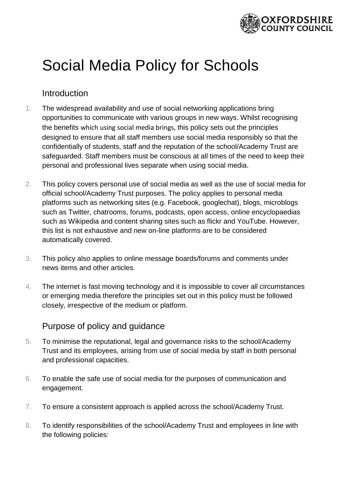

# Social Media Policy for Schools

#### Introduction

- 1. The widespread availability and use of social networking applications bring opportunities to communicate with various groups in new ways. Whilst recognising the benefits which using social media brings, this policy sets out the principles designed to ensure that all staff members use social media responsibly so that the confidentially of students, staff and the reputation of the school/Academy Trust are safeguarded. Staff members must be conscious at all times of the need to keep their personal and professional lives separate when using social media.
- 2. This policy covers personal use of social media as well as the use of social media for official school/Academy Trust purposes. The policy applies to personal media platforms such as networking sites (e.g. Facebook, googlechat), blogs, microblogs such as Twitter, chatrooms, forums, podcasts, open access, online encyclopaedias such as Wikipedia and content sharing sites such as flickr and YouTube. However, this list is not exhaustive and new on-line platforms are to be considered automatically covered.
- 3. This policy also applies to online message boards/forums and comments under news items and other articles.
- 4. The internet is fast moving technology and it is impossible to cover all circumstances or emerging media therefore the principles set out in this policy must be followed closely, irrespective of the medium or platform.

### Purpose of policy and guidance

- 5. To minimise the reputational, legal and governance risks to the school/Academy Trust and its employees, arising from use of social media by staff in both personal and professional capacities.
- 6. To enable the safe use of social media for the purposes of communication and engagement.
- 7. To ensure a consistent approach is applied across the school/Academy Trust.
- 8. To identify responsibilities of the school/Academy Trust and employees in line with the following policies: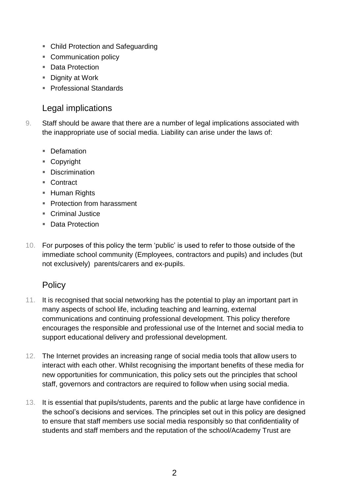- Child Protection and Safeguarding
- Communication policy
- Data Protection
- Dignity at Work
- Professional Standards

#### Legal implications

- 9. Staff should be aware that there are a number of legal implications associated with the inappropriate use of social media. Liability can arise under the laws of:
	- Defamation
	- Copyright
	- Discrimination
	- Contract
	- Human Rights
	- Protection from harassment
	- Criminal Justice
	- Data Protection
- 10. For purposes of this policy the term 'public' is used to refer to those outside of the immediate school community (Employees, contractors and pupils) and includes (but not exclusively) parents/carers and ex-pupils.

#### **Policy**

- 11. It is recognised that social networking has the potential to play an important part in many aspects of school life, including teaching and learning, external communications and continuing professional development. This policy therefore encourages the responsible and professional use of the Internet and social media to support educational delivery and professional development.
- 12. The Internet provides an increasing range of social media tools that allow users to interact with each other. Whilst recognising the important benefits of these media for new opportunities for communication, this policy sets out the principles that school staff, governors and contractors are required to follow when using social media.
- 13. It is essential that pupils/students, parents and the public at large have confidence in the school's decisions and services. The principles set out in this policy are designed to ensure that staff members use social media responsibly so that confidentiality of students and staff members and the reputation of the school/Academy Trust are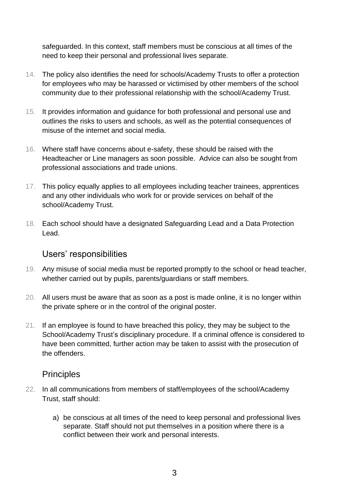safeguarded. In this context, staff members must be conscious at all times of the need to keep their personal and professional lives separate.

- 14. The policy also identifies the need for schools/Academy Trusts to offer a protection for employees who may be harassed or victimised by other members of the school community due to their professional relationship with the school/Academy Trust.
- 15. It provides information and guidance for both professional and personal use and outlines the risks to users and schools, as well as the potential consequences of misuse of the internet and social media.
- 16. Where staff have concerns about e-safety, these should be raised with the Headteacher or Line managers as soon possible. Advice can also be sought from professional associations and trade unions.
- 17. This policy equally applies to all employees including teacher trainees, apprentices and any other individuals who work for or provide services on behalf of the school/Academy Trust.
- 18. Each school should have a designated Safeguarding Lead and a Data Protection Lead.

#### Users' responsibilities

- 19. Any misuse of social media must be reported promptly to the school or head teacher, whether carried out by pupils, parents/guardians or staff members.
- 20. All users must be aware that as soon as a post is made online, it is no longer within the private sphere or in the control of the original poster.
- 21. If an employee is found to have breached this policy, they may be subject to the School/Academy Trust's disciplinary procedure. If a criminal offence is considered to have been committed, further action may be taken to assist with the prosecution of the offenders.

#### **Principles**

- 22. In all communications from members of staff/employees of the school/Academy Trust, staff should:
	- a) be conscious at all times of the need to keep personal and professional lives separate. Staff should not put themselves in a position where there is a conflict between their work and personal interests.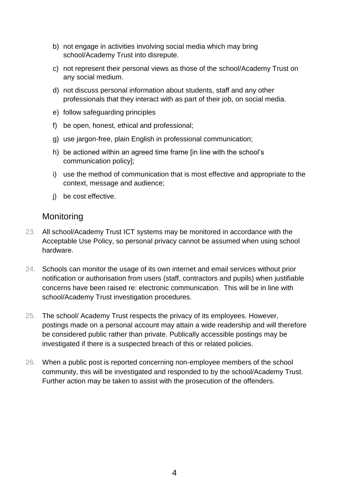- b) not engage in activities involving social media which may bring school/Academy Trust into disrepute.
- c) not represent their personal views as those of the school/Academy Trust on any social medium.
- d) not discuss personal information about students, staff and any other professionals that they interact with as part of their job, on social media.
- e) follow safeguarding principles
- f) be open, honest, ethical and professional;
- g) use jargon-free, plain English in professional communication;
- h) be actioned within an agreed time frame [in line with the school's communication policy];
- i) use the method of communication that is most effective and appropriate to the context, message and audience;
- j) be cost effective.

#### **Monitoring**

- 23. All school/Academy Trust ICT systems may be monitored in accordance with the Acceptable Use Policy, so personal privacy cannot be assumed when using school hardware.
- 24. Schools can monitor the usage of its own internet and email services without prior notification or authorisation from users (staff, contractors and pupils) when justifiable concerns have been raised re: electronic communication. This will be in line with school/Academy Trust investigation procedures.
- 25. The school/ Academy Trust respects the privacy of its employees. However, postings made on a personal account may attain a wide readership and will therefore be considered public rather than private. Publically accessible postings may be investigated if there is a suspected breach of this or related policies.
- 26. When a public post is reported concerning non-employee members of the school community, this will be investigated and responded to by the school/Academy Trust. Further action may be taken to assist with the prosecution of the offenders.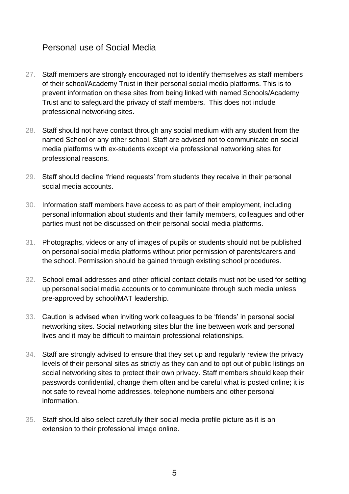#### Personal use of Social Media

- 27. Staff members are strongly encouraged not to identify themselves as staff members of their school/Academy Trust in their personal social media platforms. This is to prevent information on these sites from being linked with named Schools/Academy Trust and to safeguard the privacy of staff members. This does not include professional networking sites.
- 28. Staff should not have contact through any social medium with any student from the named School or any other school. Staff are advised not to communicate on social media platforms with ex-students except via professional networking sites for professional reasons.
- 29. Staff should decline 'friend requests' from students they receive in their personal social media accounts.
- 30. Information staff members have access to as part of their employment, including personal information about students and their family members, colleagues and other parties must not be discussed on their personal social media platforms.
- 31. Photographs, videos or any of images of pupils or students should not be published on personal social media platforms without prior permission of parents/carers and the school. Permission should be gained through existing school procedures.
- 32. School email addresses and other official contact details must not be used for setting up personal social media accounts or to communicate through such media unless pre-approved by school/MAT leadership.
- 33. Caution is advised when inviting work colleagues to be 'friends' in personal social networking sites. Social networking sites blur the line between work and personal lives and it may be difficult to maintain professional relationships.
- 34. Staff are strongly advised to ensure that they set up and regularly review the privacy levels of their personal sites as strictly as they can and to opt out of public listings on social networking sites to protect their own privacy. Staff members should keep their passwords confidential, change them often and be careful what is posted online; it is not safe to reveal home addresses, telephone numbers and other personal information.
- 35. Staff should also select carefully their social media profile picture as it is an extension to their professional image online.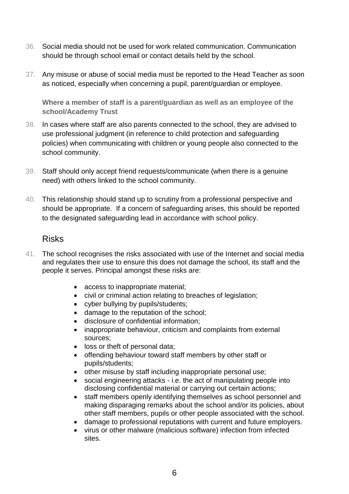- 36. Social media should not be used for work related communication. Communication should be through school email or contact details held by the school.
- 37. Any misuse or abuse of social media must be reported to the Head Teacher as soon as noticed, especially when concerning a pupil, parent/guardian or employee.

**Where a member of staff is a parent/guardian as well as an employee of the school/Academy Trust** 

- 38. In cases where staff are also parents connected to the school, they are advised to use professional judgment (in reference to child protection and safeguarding policies) when communicating with children or young people also connected to the school community.
- 39. Staff should only accept friend requests/communicate (when there is a genuine need) with others linked to the school community.
- 40. This relationship should stand up to scrutiny from a professional perspective and should be appropriate. If a concern of safeguarding arises, this should be reported to the designated safeguarding lead in accordance with school policy.

#### Risks

- 41. The school recognises the risks associated with use of the Internet and social media and regulates their use to ensure this does not damage the school, its staff and the people it serves. Principal amongst these risks are:
	- access to inappropriate material;
	- civil or criminal action relating to breaches of legislation;
	- cyber bullying by pupils/students;
	- damage to the reputation of the school;
	- disclosure of confidential information;
	- inappropriate behaviour, criticism and complaints from external sources;
	- loss or theft of personal data;
	- offending behaviour toward staff members by other staff or pupils/students;
	- other misuse by staff including inappropriate personal use;
	- social engineering attacks i.e. the act of manipulating people into disclosing confidential material or carrying out certain actions;
	- staff members openly identifying themselves as school personnel and making disparaging remarks about the school and/or its policies, about other staff members, pupils or other people associated with the school.
	- damage to professional reputations with current and future employers.
	- virus or other malware (malicious software) infection from infected sites.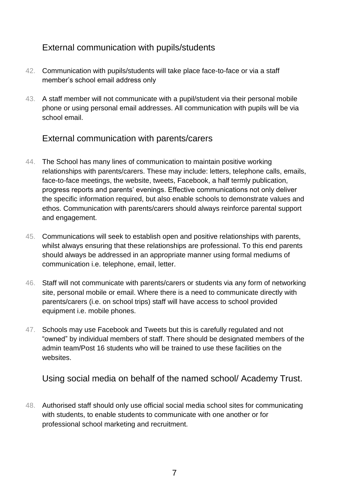## External communication with pupils/students

- 42. Communication with pupils/students will take place face-to-face or via a staff member's school email address only
- 43. A staff member will not communicate with a pupil/student via their personal mobile phone or using personal email addresses. All communication with pupils will be via school email.

#### External communication with parents/carers

- 44. The School has many lines of communication to maintain positive working relationships with parents/carers. These may include: letters, telephone calls, emails, face-to-face meetings, the website, tweets, Facebook, a half termly publication, progress reports and parents' evenings. Effective communications not only deliver the specific information required, but also enable schools to demonstrate values and ethos. Communication with parents/carers should always reinforce parental support and engagement.
- 45. Communications will seek to establish open and positive relationships with parents, whilst always ensuring that these relationships are professional. To this end parents should always be addressed in an appropriate manner using formal mediums of communication i.e. telephone, email, letter.
- 46. Staff will not communicate with parents/carers or students via any form of networking site, personal mobile or email. Where there is a need to communicate directly with parents/carers (i.e. on school trips) staff will have access to school provided equipment i.e. mobile phones.
- 47. Schools may use Facebook and Tweets but this is carefully regulated and not "owned" by individual members of staff. There should be designated members of the admin team/Post 16 students who will be trained to use these facilities on the websites.

Using social media on behalf of the named school/ Academy Trust.

48. Authorised staff should only use official social media school sites for communicating with students, to enable students to communicate with one another or for professional school marketing and recruitment.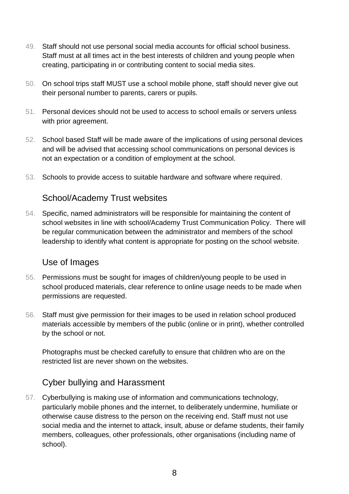- 49. Staff should not use personal social media accounts for official school business. Staff must at all times act in the best interests of children and young people when creating, participating in or contributing content to social media sites.
- 50. On school trips staff MUST use a school mobile phone, staff should never give out their personal number to parents, carers or pupils.
- 51. Personal devices should not be used to access to school emails or servers unless with prior agreement.
- 52. School based Staff will be made aware of the implications of using personal devices and will be advised that accessing school communications on personal devices is not an expectation or a condition of employment at the school.
- 53. Schools to provide access to suitable hardware and software where required.

#### School/Academy Trust websites

54. Specific, named administrators will be responsible for maintaining the content of school websites in line with school/Academy Trust Communication Policy. There will be regular communication between the administrator and members of the school leadership to identify what content is appropriate for posting on the school website.

#### Use of Images

- 55. Permissions must be sought for images of children/young people to be used in school produced materials, clear reference to online usage needs to be made when permissions are requested.
- 56. Staff must give permission for their images to be used in relation school produced materials accessible by members of the public (online or in print), whether controlled by the school or not.

Photographs must be checked carefully to ensure that children who are on the restricted list are never shown on the websites.

#### Cyber bullying and Harassment

57. Cyberbullying is making use of information and communications technology, particularly mobile phones and the internet, to deliberately undermine, humiliate or otherwise cause distress to the person on the receiving end. Staff must not use social media and the internet to attack, insult, abuse or defame students, their family members, colleagues, other professionals, other organisations (including name of school).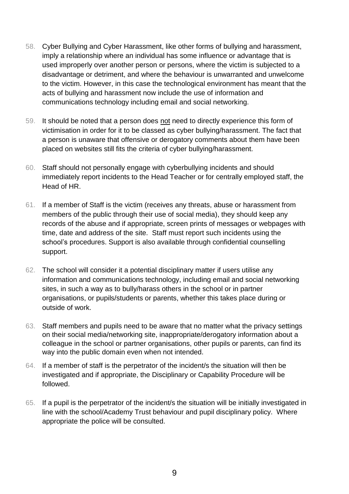- 58. Cyber Bullying and Cyber Harassment, like other forms of bullying and harassment, imply a relationship where an individual has some influence or advantage that is used improperly over another person or persons, where the victim is subjected to a disadvantage or detriment, and where the behaviour is unwarranted and unwelcome to the victim. However, in this case the technological environment has meant that the acts of bullying and harassment now include the use of information and communications technology including email and social networking.
- 59. It should be noted that a person does not need to directly experience this form of victimisation in order for it to be classed as cyber bullying/harassment. The fact that a person is unaware that offensive or derogatory comments about them have been placed on websites still fits the criteria of cyber bullying/harassment.
- 60. Staff should not personally engage with cyberbullying incidents and should immediately report incidents to the Head Teacher or for centrally employed staff, the Head of HR.
- 61. If a member of Staff is the victim (receives any threats, abuse or harassment from members of the public through their use of social media), they should keep any records of the abuse and if appropriate, screen prints of messages or webpages with time, date and address of the site. Staff must report such incidents using the school's procedures. Support is also available through confidential counselling support.
- 62. The school will consider it a potential disciplinary matter if users utilise any information and communications technology, including email and social networking sites, in such a way as to bully/harass others in the school or in partner organisations, or pupils/students or parents, whether this takes place during or outside of work.
- 63. Staff members and pupils need to be aware that no matter what the privacy settings on their social media/networking site, inappropriate/derogatory information about a colleague in the school or partner organisations, other pupils or parents, can find its way into the public domain even when not intended.
- 64. If a member of staff is the perpetrator of the incident/s the situation will then be investigated and if appropriate, the Disciplinary or Capability Procedure will be followed.
- 65. If a pupil is the perpetrator of the incident/s the situation will be initially investigated in line with the school/Academy Trust behaviour and pupil disciplinary policy. Where appropriate the police will be consulted.